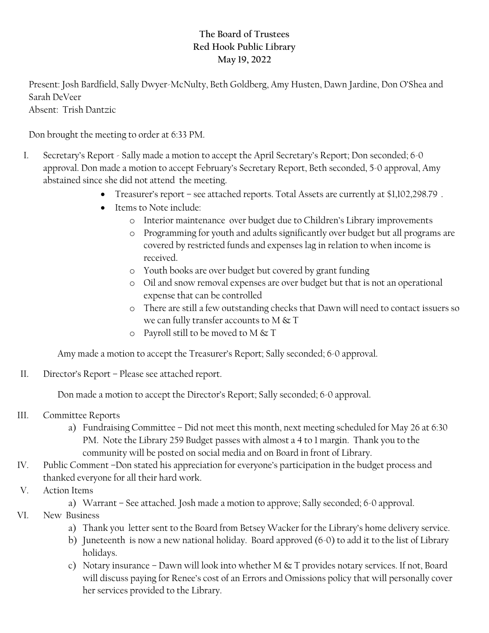## **The Board of Trustees Red Hook Public Library May 19, 2022**

Present: Josh Bardfield, Sally Dwyer-McNulty, Beth Goldberg, Amy Husten, Dawn Jardine, Don O'Shea and Sarah DeVeer

Absent: Trish Dantzic

Don brought the meeting to order at 6:33 PM.

- I. Secretary's Report Sally made a motion to accept the April Secretary's Report; Don seconded; 6-0 approval. Don made a motion to accept February's Secretary Report, Beth seconded, 5-0 approval, Amy abstained since she did not attend the meeting.
	- Treasurer's report see attached reports. Total Assets are currently at \$1,102,298.79.
	- Items to Note include:
		- o Interior maintenance over budget due to Children's Library improvements
		- o Programming for youth and adults significantly over budget but all programs are covered by restricted funds and expenses lag in relation to when income is received.
		- o Youth books are over budget but covered by grant funding
		- o Oil and snow removal expenses are over budget but that is not an operational expense that can be controlled
		- o There are still a few outstanding checks that Dawn will need to contact issuers so we can fully transfer accounts to M  $\&$  T
		- o Payroll still to be moved to M  $\&$  T

Amy made a motion to accept the Treasurer's Report; Sally seconded; 6-0 approval.

II. Director's Report – Please see attached report.

Don made a motion to accept the Director's Report; Sally seconded; 6-0 approval.

- III. Committee Reports
	- a) Fundraising Committee Did not meet this month, next meeting scheduled for May 26 at 6:30 PM. Note the Library 259 Budget passes with almost a 4 to 1 margin. Thank you to the community will be posted on social media and on Board in front of Library.
- IV. Public Comment –Don stated his appreciation for everyone's participation in the budget process and thanked everyone for all their hard work.
- V. Action Items
	- a) Warrant See attached. Josh made a motion to approve; Sally seconded; 6-0 approval.
- VI. New Business
	- a) Thank you letter sent to the Board from Betsey Wacker for the Library's home delivery service.
	- b) Juneteenth is now a new national holiday. Board approved (6-0) to add it to the list of Library holidays.
	- c) Notary insurance Dawn will look into whether M & T provides notary services. If not, Board will discuss paying for Renee's cost of an Errors and Omissions policy that will personally cover her services provided to the Library.